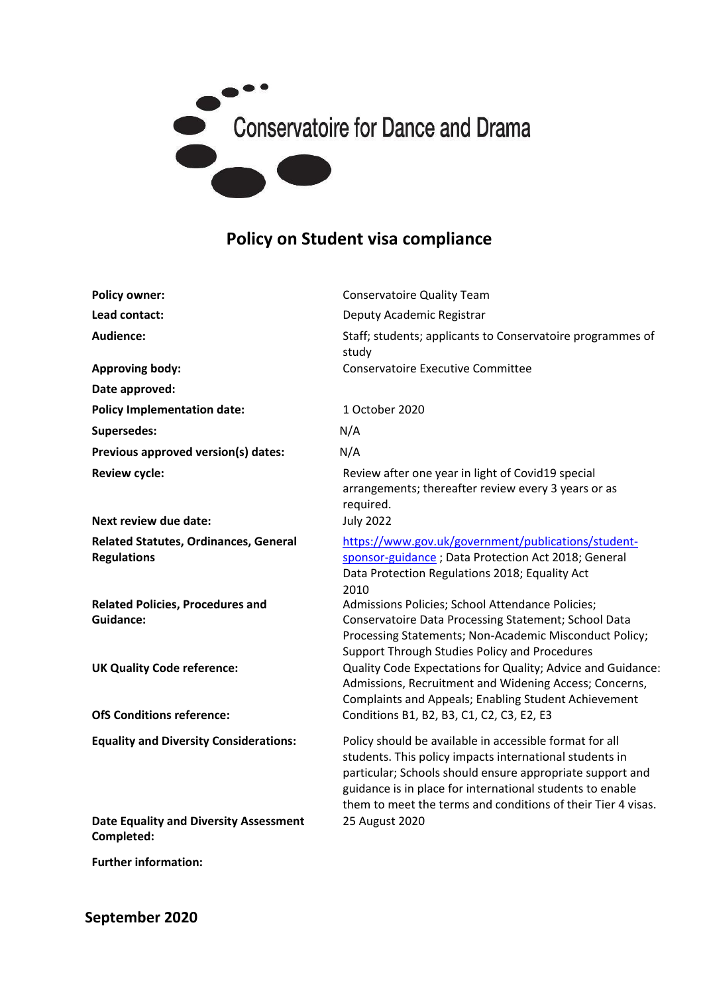

## **Policy on Student visa compliance**

| <b>Policy owner:</b>                                               | <b>Conservatoire Quality Team</b>                                                                                                                                                                                                                                                                            |
|--------------------------------------------------------------------|--------------------------------------------------------------------------------------------------------------------------------------------------------------------------------------------------------------------------------------------------------------------------------------------------------------|
| Lead contact:                                                      | Deputy Academic Registrar                                                                                                                                                                                                                                                                                    |
|                                                                    |                                                                                                                                                                                                                                                                                                              |
| <b>Audience:</b>                                                   | Staff; students; applicants to Conservatoire programmes of<br>study                                                                                                                                                                                                                                          |
| <b>Approving body:</b>                                             | <b>Conservatoire Executive Committee</b>                                                                                                                                                                                                                                                                     |
| Date approved:                                                     |                                                                                                                                                                                                                                                                                                              |
| <b>Policy Implementation date:</b>                                 | 1 October 2020                                                                                                                                                                                                                                                                                               |
| Supersedes:                                                        | N/A                                                                                                                                                                                                                                                                                                          |
| Previous approved version(s) dates:                                | N/A                                                                                                                                                                                                                                                                                                          |
| <b>Review cycle:</b>                                               | Review after one year in light of Covid19 special<br>arrangements; thereafter review every 3 years or as<br>required.                                                                                                                                                                                        |
| <b>Next review due date:</b>                                       | <b>July 2022</b>                                                                                                                                                                                                                                                                                             |
| <b>Related Statutes, Ordinances, General</b><br><b>Regulations</b> | https://www.gov.uk/government/publications/student-<br>sponsor-guidance; Data Protection Act 2018; General<br>Data Protection Regulations 2018; Equality Act<br>2010                                                                                                                                         |
| <b>Related Policies, Procedures and</b><br><b>Guidance:</b>        | Admissions Policies; School Attendance Policies;<br>Conservatoire Data Processing Statement; School Data<br>Processing Statements; Non-Academic Misconduct Policy;<br>Support Through Studies Policy and Procedures                                                                                          |
| <b>UK Quality Code reference:</b>                                  | Quality Code Expectations for Quality; Advice and Guidance:<br>Admissions, Recruitment and Widening Access; Concerns,<br><b>Complaints and Appeals; Enabling Student Achievement</b>                                                                                                                         |
| <b>OfS Conditions reference:</b>                                   | Conditions B1, B2, B3, C1, C2, C3, E2, E3                                                                                                                                                                                                                                                                    |
| <b>Equality and Diversity Considerations:</b>                      | Policy should be available in accessible format for all<br>students. This policy impacts international students in<br>particular; Schools should ensure appropriate support and<br>guidance is in place for international students to enable<br>them to meet the terms and conditions of their Tier 4 visas. |
| <b>Date Equality and Diversity Assessment</b><br>Completed:        | 25 August 2020                                                                                                                                                                                                                                                                                               |

**Further information:**

**September 2020**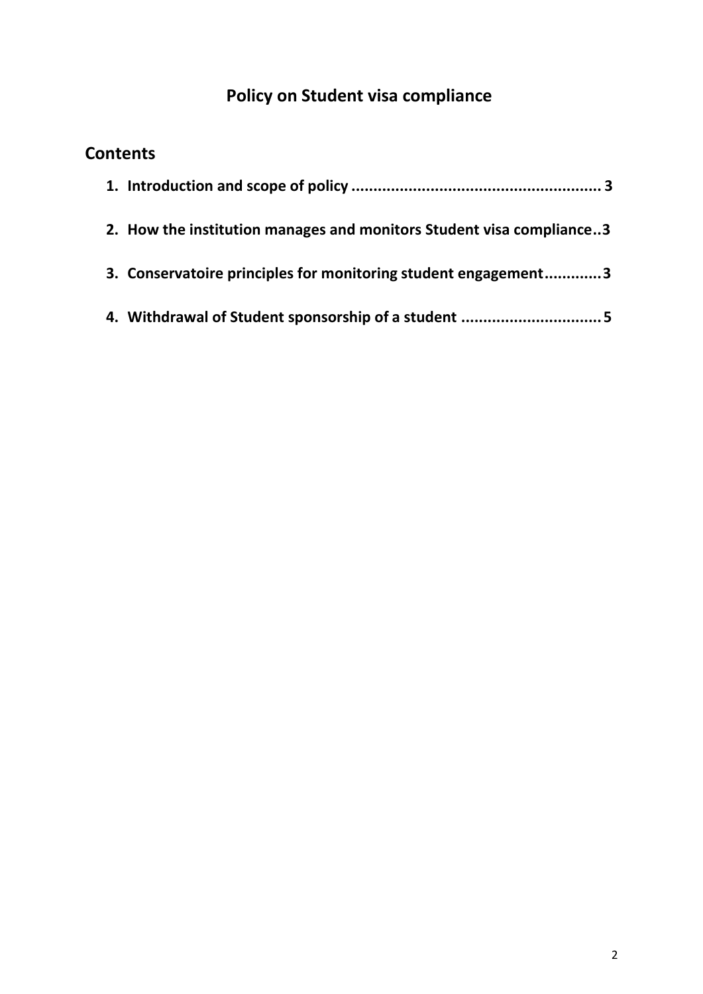# **Policy on Student visa compliance**

## **Contents**

| 2. How the institution manages and monitors Student visa compliance3 |
|----------------------------------------------------------------------|
| 3. Conservatoire principles for monitoring student engagement3       |
|                                                                      |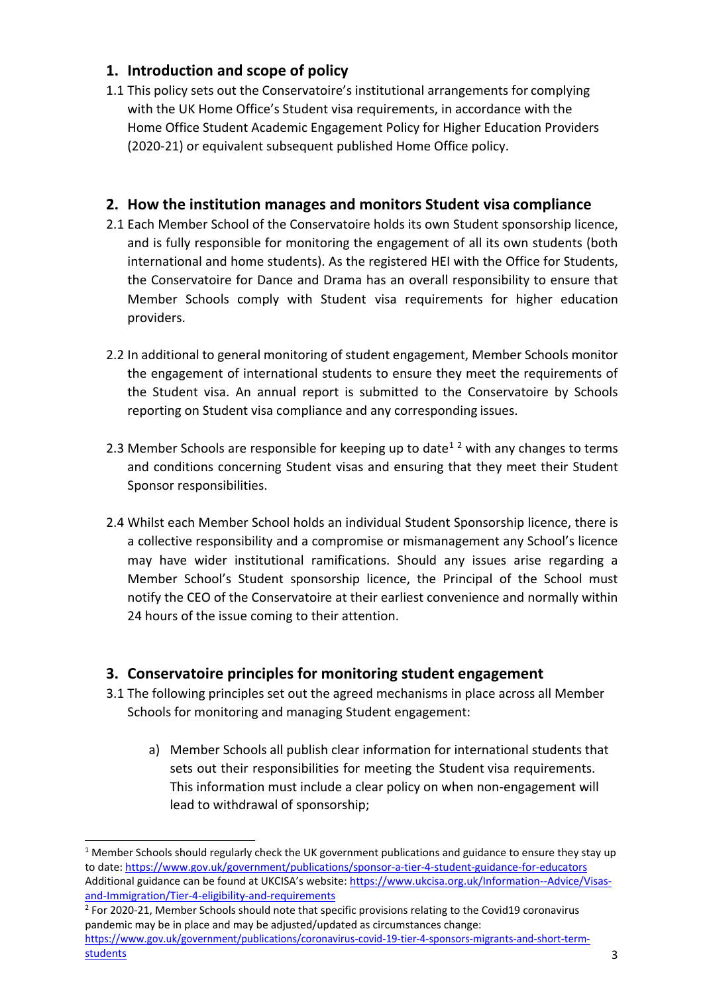#### <span id="page-2-0"></span>**1. Introduction and scope of policy**

1.1 This policy sets out the Conservatoire's institutional arrangements for complying with the UK Home Office's Student visa requirements, in accordance with the Home Office Student Academic Engagement Policy for Higher Education Providers (2020-21) or equivalent subsequent published Home Office policy.

#### <span id="page-2-1"></span>**2. How the institution manages and monitors Student visa compliance**

- 2.1 Each Member School of the Conservatoire holds its own Student sponsorship licence, and is fully responsible for monitoring the engagement of all its own students (both international and home students). As the registered HEI with the Office for Students, the Conservatoire for Dance and Drama has an overall responsibility to ensure that Member Schools comply with Student visa requirements for higher education providers.
- 2.2 In additional to general monitoring of student engagement, Member Schools monitor the engagement of international students to ensure they meet the requirements of the Student visa. An annual report is submitted to the Conservatoire by Schools reporting on Student visa compliance and any corresponding issues.
- 2.3 Member Schools are responsible for keeping up to date<sup>12</sup> with any changes to terms and conditions concerning Student visas and ensuring that they meet their Student Sponsor responsibilities.
- 2.4 Whilst each Member School holds an individual Student Sponsorship licence, there is a collective responsibility and a compromise or mismanagement any School's licence may have wider institutional ramifications. Should any issues arise regarding a Member School's Student sponsorship licence, the Principal of the School must notify the CEO of the Conservatoire at their earliest convenience and normally within 24 hours of the issue coming to their attention.

#### <span id="page-2-2"></span>**3. Conservatoire principles for monitoring student engagement**

- 3.1 The following principles set out the agreed mechanisms in place across all Member Schools for monitoring and managing Student engagement:
	- a) Member Schools all publish clear information for international students that sets out their responsibilities for meeting the Student visa requirements. This information must include a clear policy on when non-engagement will lead to withdrawal of sponsorship;

 $1$  Member Schools should regularly check the UK government publications and guidance to ensure they stay up to date:<https://www.gov.uk/government/publications/sponsor-a-tier-4-student-guidance-for-educators> Additional guidance can be found at UKCISA's website: [https://www.ukcisa.org.uk/Information--Advice/Visas](https://www.ukcisa.org.uk/Information--Advice/Visas-and-Immigration/Tier-4-eligibility-and-requirements)[and-Immigration/Tier-4-eligibility-and-requirements](https://www.ukcisa.org.uk/Information--Advice/Visas-and-Immigration/Tier-4-eligibility-and-requirements)

<sup>&</sup>lt;sup>2</sup> For 2020-21, Member Schools should note that specific provisions relating to the Covid19 coronavirus pandemic may be in place and may be adjusted/updated as circumstances change: [https://www.gov.uk/government/publications/coronavirus-covid-19-tier-4-sponsors-migrants-and-short-term](https://www.gov.uk/government/publications/coronavirus-covid-19-tier-4-sponsors-migrants-and-short-term-students)[students](https://www.gov.uk/government/publications/coronavirus-covid-19-tier-4-sponsors-migrants-and-short-term-students)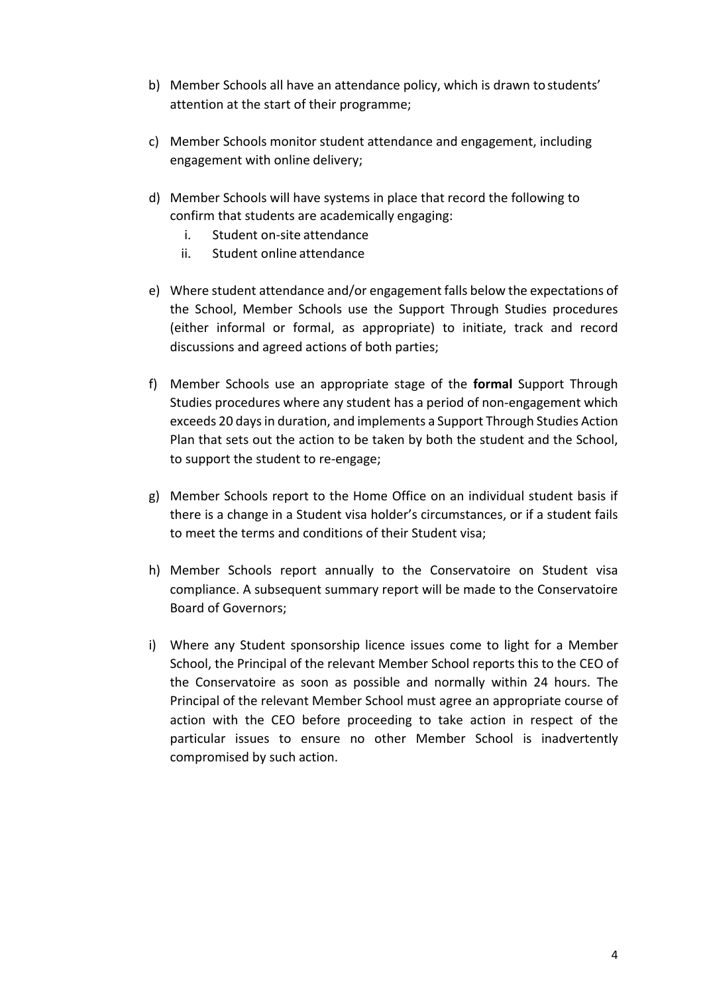- b) Member Schools all have an attendance policy, which is drawn tostudents' attention at the start of their programme;
- c) Member Schools monitor student attendance and engagement, including engagement with online delivery;
- d) Member Schools will have systems in place that record the following to confirm that students are academically engaging:
	- i. Student on-site attendance
	- ii. Student online attendance
- e) Where student attendance and/or engagement falls below the expectations of the School, Member Schools use the Support Through Studies procedures (either informal or formal, as appropriate) to initiate, track and record discussions and agreed actions of both parties;
- f) Member Schools use an appropriate stage of the **formal** Support Through Studies procedures where any student has a period of non-engagement which exceeds 20 days in duration, and implements a Support Through Studies Action Plan that sets out the action to be taken by both the student and the School, to support the student to re-engage;
- g) Member Schools report to the Home Office on an individual student basis if there is a change in a Student visa holder's circumstances, or if a student fails to meet the terms and conditions of their Student visa;
- h) Member Schools report annually to the Conservatoire on Student visa compliance. A subsequent summary report will be made to the Conservatoire Board of Governors;
- i) Where any Student sponsorship licence issues come to light for a Member School, the Principal of the relevant Member School reports this to the CEO of the Conservatoire as soon as possible and normally within 24 hours. The Principal of the relevant Member School must agree an appropriate course of action with the CEO before proceeding to take action in respect of the particular issues to ensure no other Member School is inadvertently compromised by such action.